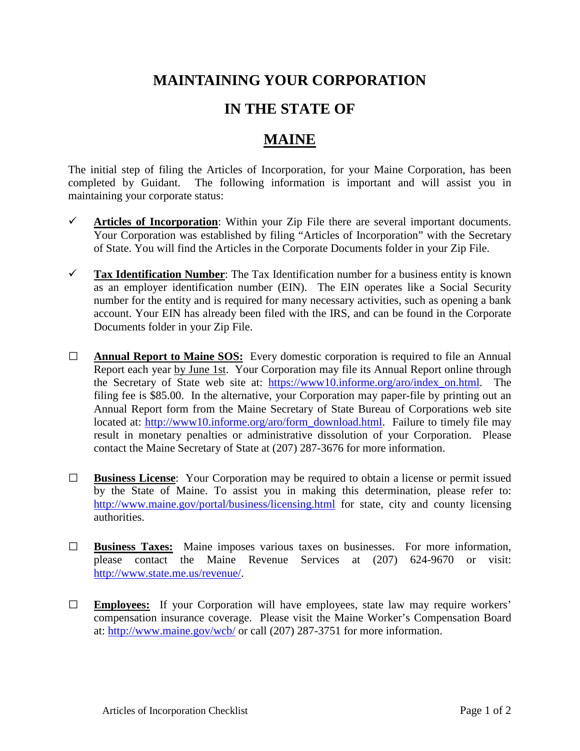## **MAINTAINING YOUR CORPORATION**

## **IN THE STATE OF**

## **MAINE**

The initial step of filing the Articles of Incorporation, for your Maine Corporation, has been completed by Guidant. The following information is important and will assist you in maintaining your corporate status:

- $\checkmark$  Articles of Incorporation: Within your Zip File there are several important documents. Your Corporation was established by filing "Articles of Incorporation" with the Secretary of State. You will find the Articles in the Corporate Documents folder in your Zip File.
- **Tax Identification Number**: The Tax Identification number for a business entity is known as an employer identification number (EIN). The EIN operates like a Social Security number for the entity and is required for many necessary activities, such as opening a bank account. Your EIN has already been filed with the IRS, and can be found in the Corporate Documents folder in your Zip File.
- **□ Annual Report to Maine SOS:** Every domestic corporation is required to file an Annual Report each year by June 1st. Your Corporation may file its Annual Report online through the Secretary of State web site at: [https://www10.informe.org/aro/index\\_on.html.](https://www10.informe.org/aro/index_on.html) The filing fee is \$85.00. In the alternative, your Corporation may paper-file by printing out an Annual Report form from the Maine Secretary of State Bureau of Corporations web site located at: [http://www10.informe.org/aro/form\\_download.html.](http://www10.informe.org/aro/form_download.html) Failure to timely file may result in monetary penalties or administrative dissolution of your Corporation. Please contact the Maine Secretary of State at (207) 287-3676 for more information.
- **□ Business License**: Your Corporation may be required to obtain a license or permit issued by the State of Maine. To assist you in making this determination, please refer to: <http://www.maine.gov/portal/business/licensing.html> for state, city and county licensing authorities.
- **□ Business Taxes:** Maine imposes various taxes on businesses. For more information, please contact the Maine Revenue Services at (207) 624-9670 or visit: [http://www.state.me.us/revenue/.](http://www.state.me.us/revenue/)
- **□ Employees:** If your Corporation will have employees, state law may require workers' compensation insurance coverage. Please visit the Maine Worker's Compensation Board at:<http://www.maine.gov/wcb/> or call (207) 287-3751 for more information.